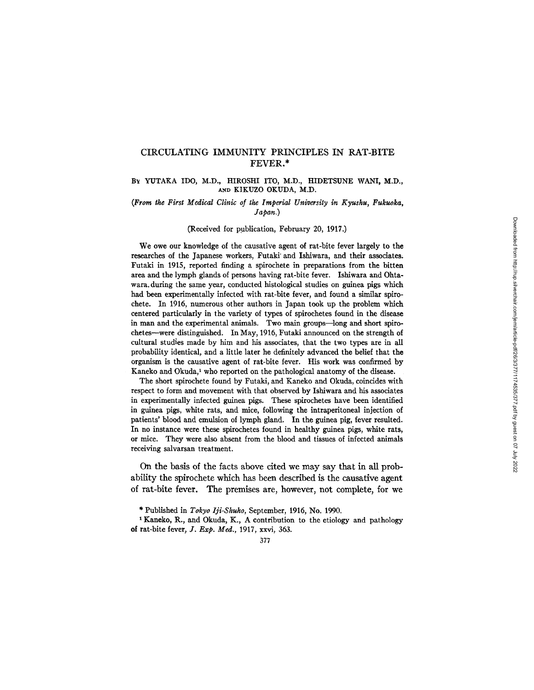# CIRCULATING IMMUNITY PRINCIPLES IN RAT-BITE FEVER.\*

# Bx YUTAKA IDO, M.D., HIROSHI ITO, M.D., HIDETSIJNE WANI, M.D., ANn KIKUZO OKUDA, M.D.

# *(From tke First Medical Clinic of the Imperial University in Kyusku, Fukuoka, Japan.)*

# (Received for publication, February 20, 1917.)

We owe our knowledge of the causative agent of rat-bite fever largely to the researches of the Japanese workers, Futaki' and Ishiwara, and their associates, Futaki in 1915, reported finding a spirochete in preparations from the bitten area and the lymph glands of persons having rat-bite fever. Ishiwara and Ohtawara. during the same year, conducted histological studies on guinea pigs which had been experimentally infected with rat-bite fever, and found a similar spirochete. In 1916, numerous other authors in Japan took up the problem which centered particularly in the variety of types of spirochetes found in the disease in man and the experimental animals. Two main groups--long and short spirochetes—were distinguished. In May, 1916, Futaki announced on the strength of cultural studies made by him and his associates, that the two types are in all probability identical, and a little later he definitely advanced the belief that the organism is the causative agent of rat-bite fever. His work was confirmed by Kaneko and Okuda,<sup>1</sup> who reported on the pathological anatomy of the disease.

The short spirochete found by Futaki, and Kaneko and Okuda, coincides with respect to form and movement with that observed by Ishiwara and his associates in experimentally infected guinea pigs. These spirochetes have been identified in guinea pigs, white rats, and mice, following the intraperitoneal injection of patients' blood and emulsion of lymph gland. In the guinea pig, fever resulted. In no instance were these spirochetes found in healthy guinea pigs, white rats, or mice. They were also absent from the blood and tissues of infected animals receiving salvarsan treatment.

On the basis of the facts above cited we may say that in all probability the spirochete which has been described is the causative agent of rat-bite fever. The premises are, however, not complete, for we

<sup>\*</sup> Published in *Tokyo Iji-Shuho,* September, 1916, No. 1990.

<sup>&</sup>lt;sup>1</sup> Kaneko, R., and Okuda, K., A contribution to the etiology and pathology of far-bite fever, *J. Exp. Med.,* 1917, xxvi, 363.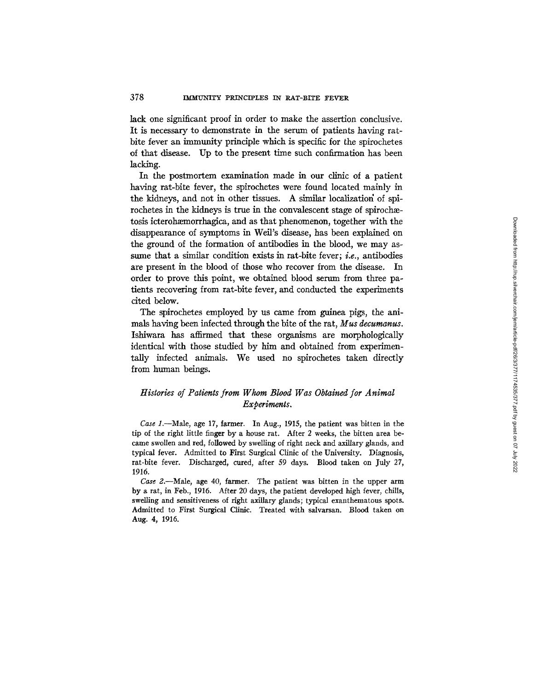lack one significant proof in order to make the assertion conclusive. It is necessary to demonstrate in the serum of patients having ratbite fever an immunity principle which is specific for the spirochetes of that disease. Up to the present time such confirmation has been lacking.

In the postmortem examination made in our clinic of a patient having rat-bite tever, the spirochetes were found located mainly in the kidneys, and not in other tissues. A similar localization of spirochetes in the kidneys is true in the convalescent stage of spirochætosis icterohæmorrhagica, and as that phenomenon, together with the disappearance of symptoms in Weil's disease, has been explained on the ground of the formation of antibodies in the blood, we may assume that a similar condition exists in rat-bite fever; *i.e.*, antibodies are present in the blood of those who recover from the disease. In order to prove this point, we obtained blood serum from three patients recovering from rat-bite fever, and conducted the experiments cited below.

The spirochetes employed by us came from guinea pigs, the animals having been infected through the bite of the rat, *Mus decumanus.*  Ishiwara has affirmed that these organisms are morphologically identical with those studied by him and obtained from experimentally infected animals. We used no spirochetes taken directly from human beings.

# *Histories of Patients from Whom Blood Was Obtained for Animal Experiments.*

*Case 1.*--Male, age 17, farmer. In Aug., 1915, the patient was bitten in the tip of the right little finger by a house rat. After 2 weeks, the bitten area became swollen and red, followed by swelling of right neck and axillary glands, and typical fever. Admitted to First Surgical Clinic of the University. Diagnosis, rat-bite fever. Discharged, cured, after 59 days. Blood taken on July 27, 1916.

*Case* 2.--Male, age 40, farmer. The patient was bitten in the upper arm by a rat, in Feb., 1916. After 20 days, the patient developed high fever, chills, swelling and sensitiveness of right axillary glands; typical exanthematous spots. Admitted to First Surgical Clinic. Treated with salvarsan. Blood taken on Aug. 4, 1916.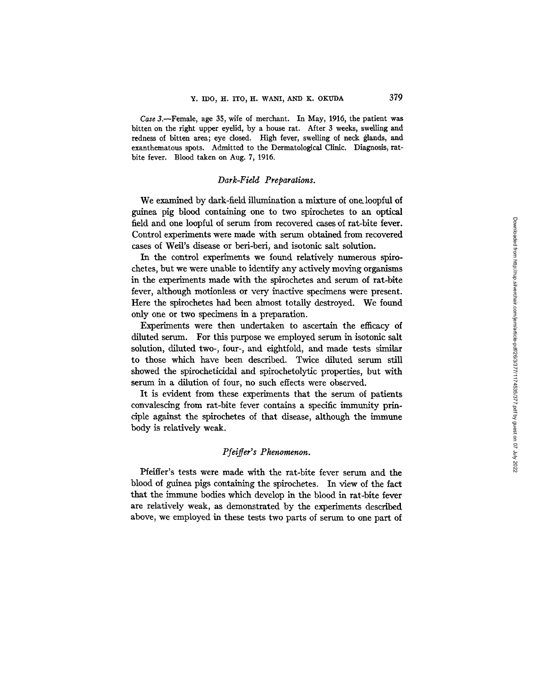*Case* 3.--Female, age 35, wife of merchant. In May, 1916, the patient was bitten on the right upper eyelid, by a house rat. After 3 weeks, swelling and redness of bitten area; eye closed. High fever, swelling of neck glands, and exanthematous spots. Admitted to the Dermatological Clinic. Diagnosis, ratbite fever. Blood taken on Aug. 7, 1916.

# *Dark-Field Preparations.*

We examined by dark-field illumination a mixture of one. loopful of guinea pig blood containing one to two spirochetes to an optical field and one loopful of serum from recovered cases of rat-bite fever. Control experiments were made with serum obtained from recovered cases of Well's disease or beri-beri, and isotonic salt solution.

In the control experiments we found relatively numerous spirochetes, but we were unable to identify any actively moving organisms in the experiments made with the spirochetes and serum of rat-bite fever, although motionless or very inactive specimens were present. Here the spirochetes had been almost totally destroyed. We found only one or two specimens in a preparation.

Experiments were then undertaken to ascertain the efficacy of diluted serum. For this purpose we employed serum in isotonic salt solution, diluted two-, four-, and eightfold, and made tests similar to those which have been described. Twice diluted serum still showed the spirocheticidal and spirochetolytic properties, but with serum in a dilution of four, no such effects were observed.

It is evident from these experiments that the serum of patients convalescing from rat-bite fever contains a specific immunity principle against the spirochetes of that disease, although the immune body is relatively weak.

# *Pfeifier's Phenomenon.*

Pfeiffer's tests were made with the rat-bite fever serum and the blood of guinea pigs containing the spirochetes. In view of the fact that the immune bodies which develop in the blood in rat-bite fever are relatively weak, as demonstrated by the experiments described above, we employed in these tests two parts of serum to one part of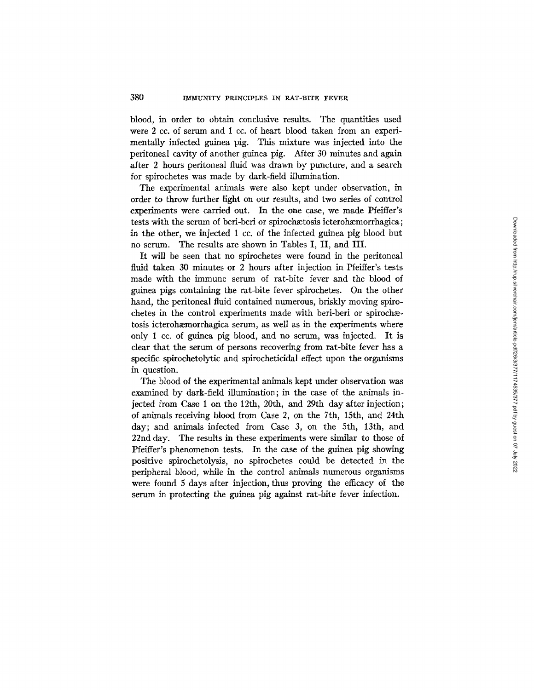blood, in order to obtain conclusive results. The quantities used were 2 cc. of serum and 1 cc. of heart blood taken from an experimentally infected guinea pig. This mixture was injected into the peritoneal cavity of another guinea pig. After 30 minutes and again after 2 hours peritoneal fluid was drawn by puncture, and a search for spirochetes was made by dark-field illumination.

The experimental animals were also kept under observation, in order to throw further light on our results, and two series of control experiments were carried out. In the one case, we made Pfeiffer's tests with the serum of beri-beri or spirochætosis icterohæmorrhagica; in the other, we injected 1 cc. of the infected guinea pig blood but no serum. The results are shown in Tables I, II, and III.

It will be seen that no spirochetes were found in the peritoneal fluid taken 30 minutes or 2 hours after injection in Pfeiffer's tests made with the immune serum of rat-bite fever and the blood of guinea pigs containing the rat-bite fever spirochetes. On the other hand, the peritoneal fluid contained numerous, briskly moving spirochetes in the control experiments made with beri-beri or spirochætosis icterohæmorrhagica serum, as well as in the experiments where only 1 cc. of guinea pig blood, and no serum, was injected. It is clear that the serum of persons recovering from rat-bite fever has a specific spirochetolytic and spirocheticidal effect upon the organisms in question.

The blood of the experimental animals kept under observation was examined by dark-field illumination; in the case of the animals injected from Case 1 on the 12th, 20th, and 29th day after injection; of animals receiving blood from Case 2, on the 7th, 15th, and 24th day; and animals infected from Case 3, on the 5th, 13th, and 22nd day. The results in these experiments were similar to those of Pfeiffer's phenomenon tests. In the case of the guinea pig showing positive spirochetolysis, no spirochetes could be detected in the peripheral blood, while in the control animals numerous organisms were found 5 days after injection, thus proving the efficacy of the serum in protecting the guinea pig against rat-bite fever infection.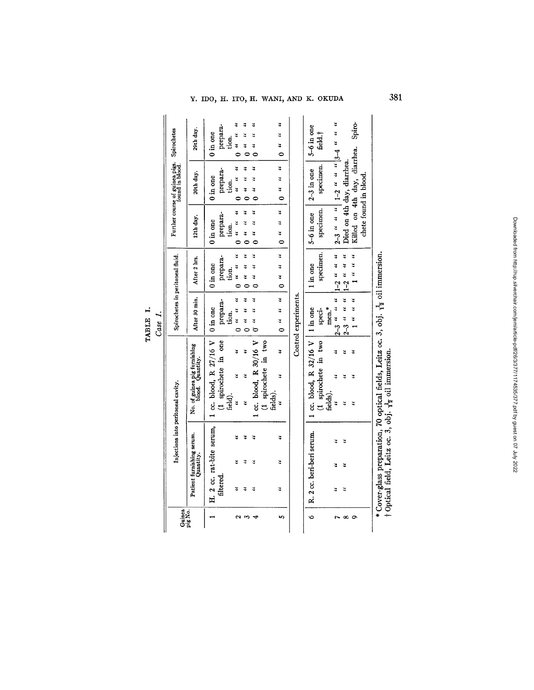$Y.$  IDO, H. ITO, H. WANI, AND K. OKUDA  $381$ 

|                          |                                        |   |   |                                                                                               | Case 1.                           |                                     |                                 |                                                   |                  |
|--------------------------|----------------------------------------|---|---|-----------------------------------------------------------------------------------------------|-----------------------------------|-------------------------------------|---------------------------------|---------------------------------------------------|------------------|
| Guinea<br>pig No.        |                                        |   |   | Injections into peritoneal cavity.                                                            |                                   | Spirochetes in peritoneal fluid.    |                                 | Further course of guinea pigs.<br>found in blood. | Spirochetes      |
|                          | Patient furnishing serum.<br>Quantity. |   |   | No. of guinea pig furnishing<br>blood. Quantity.                                              | After 30 min.                     | After 2 hrs.                        | 12th day.                       | 20th day.                                         | 29th day.        |
|                          | H. 2 cc. rat-bite serum,               |   |   | 1 cc. blood, R 27/16 V                                                                        | $0$ in one $\,$                   | $0$ in one $\,$                     | $0$ in one                      | $0 \text{ in one}$                                | 0 in one         |
|                          | filtered.                              |   |   | (1 spirochete in one                                                                          | prepara-                          | prepara-                            | prepara-                        | prepara-                                          | prepara-         |
|                          |                                        |   |   | field).                                                                                       | tion.                             | tion.                               | tion.                           | tion.                                             | tion.            |
| $\overline{\phantom{0}}$ | 2                                      | 3 | ะ | ҉<br>4<br>ะ                                                                                   | 4<br>¥<br>¥<br>0                  | 2<br>3<br>¥<br>¢                    | ะ<br>3<br>ž<br>Ò                | ێ<br>ະ<br>3<br>d                                  | š<br>ă<br>ž      |
| s                        | ะ                                      | ҉ | ҉ | ะ<br>҉                                                                                        | ҉<br>٣<br>ž<br>Ó                  | ۷,<br>٧<br>҉<br>¢                   | 3<br>2<br>3<br>¢                | ҉<br>ะ<br>3                                       | ž<br>Ċ           |
|                          | ҉                                      | ҉ | ะ | 1 cc. blood, $R$ 30/16 V                                                                      | 3<br>٧<br>҉<br>Ğ                  | ҉<br>ž<br>ž<br>c                    | ะ<br>¥<br>ะ                     | 3<br>ž                                            | ะ<br>ะ<br>ะ      |
|                          |                                        |   |   | (1 spirochete in two                                                                          |                                   |                                     |                                 |                                                   |                  |
|                          |                                        |   |   | fields).                                                                                      |                                   |                                     |                                 |                                                   |                  |
| in,                      | 2                                      | ٧ | ¥ | ă<br>3<br>҉                                                                                   | $\ddot{ }$<br>¥<br>¥<br>$\bullet$ | $\ddot{ }$<br>3<br>¥<br>Ò           | $\ddot{ }$<br>¥<br>ă<br>$\circ$ | $\ddot{ }$<br>ă<br>$\ddot{ }$<br>$\bullet$        | ¥<br>ž<br>3<br>0 |
|                          |                                        |   |   |                                                                                               | Control experiments.              |                                     |                                 |                                                   |                  |
| Ó                        | R. 2 cc. beri-beri serum.              |   |   | 1 cc. blood, R $32/16$ V   1 in one                                                           |                                   | $1$ in one $\,$                     | 5-6 in one                      | $2-3$ in one                                      | 5-6 in one       |
|                          |                                        |   |   | (1 spirochete in two                                                                          | speci-                            | specimen.                           | specimen.                       | specimen.                                         | feld.†           |
|                          |                                        |   |   | fields).                                                                                      | men.*                             |                                     |                                 |                                                   |                  |
|                          | ҉                                      | ₹ | ž | 3<br>ă<br>3                                                                                   | $2-3$ " " "                       | 7<br>ă<br>$1-2$ "                   |                                 | 2-3 a a d 1-2 a a a 13-4 a a a                    |                  |
| œ                        | ă                                      | ă | ă | ă<br>҉<br>٣                                                                                   | n n<br>$2 - 3$ "                  | ҉<br>¥<br>$\ddot{\cdot}$<br>$1 - 2$ |                                 | Died on 4th day, diarrhea.                        |                  |
| Ō                        |                                        |   |   | ă<br>ă<br>2                                                                                   | $\frac{1}{2}$<br>$\frac{3}{1}$    | $\frac{1}{2}$<br>¥                  |                                 | Killed on 4th day, diarrhea.                      | Spiro-           |
|                          |                                        |   |   |                                                                                               |                                   |                                     | chete found in blood            |                                                   |                  |
|                          |                                        |   |   | * Cover-glass preparation, 70 optical fields, Leitz oc. 3, obj. $\frac{1}{10}$ oil immersion. |                                   |                                     |                                 |                                                   |                  |

| ٠<br>H |       |
|--------|-------|
| 呂<br>Ę | e e o |
| H      |       |

ទី ្ទ

 $\mathbf{g} \cdot \mathbf{g}$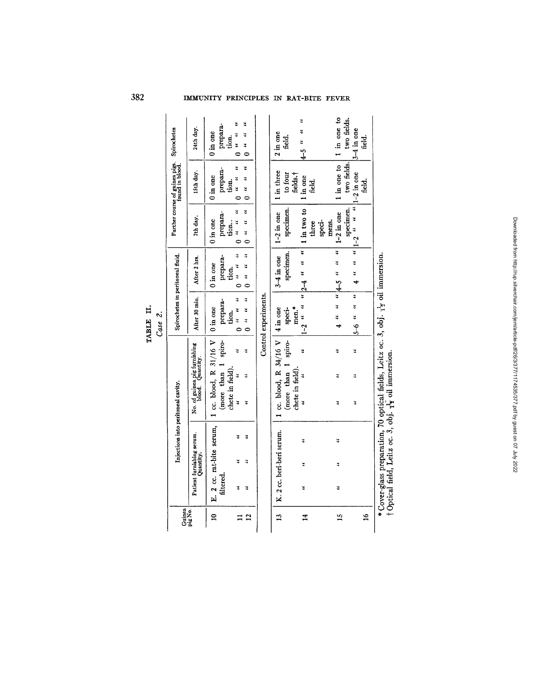| ⊟                      |     |
|------------------------|-----|
| щ<br>┙<br>円<br>×.<br>е | ase |

 $\ddot{\phantom{a}}$ 

| Guinea<br>pig No. |                                        | Injections into peritoneal cavity.                                     | Spirochetes in peritoneal fluid.              |                                                                                             |                                                                                        | Further course of guinea pigs. Spirochetes<br>found in blood. |                                                                                      |
|-------------------|----------------------------------------|------------------------------------------------------------------------|-----------------------------------------------|---------------------------------------------------------------------------------------------|----------------------------------------------------------------------------------------|---------------------------------------------------------------|--------------------------------------------------------------------------------------|
|                   | Patient furnishing serum.<br>Quantity. | No. of guinea pig furnishing<br>blood. Quantity.                       | After 30 min.                                 | After 2 hrs.                                                                                | 7th day.                                                                               | 15th day.                                                     | 24th day.                                                                            |
| ≘                 | E. 2 cc. rat-bite serum,<br>filtered   | $\vert$ 1 cc. blood, R 31/16 V $\vert$ 0 in one<br>(more than 1 spiro- | prepara-                                      | ргерага-<br>$0$ in one                                                                      | prepara-<br>$0 \text{ in one}$                                                         | prepara-<br>$0$ in one                                        | prepara-<br>0 in one<br>tion.                                                        |
| $\overline{2}$    | 3<br>ะ<br>$\ddot{ }$                   | ₹<br>2<br>chete in field).<br>ž<br>2<br>4                              | $01$ at $01$<br>$\theta$ as $\theta$<br>tion. | $0$ as $0$<br>$\ddot{ }$<br>$\begin{bmatrix} 0 & u & 0 \\ 0 & 0 & u \end{bmatrix}$<br>tion. | $\begin{bmatrix} 0 & a & a \\ 0 & 0 & a \end{bmatrix}$<br>҉<br>$\ddot{ }$ , 0<br>tion. | u<br>u<br>ะ<br>tion.<br>$\begin{array}{c} 3 \ 1 \end{array}$  | $\begin{bmatrix} 0 & u & u & 0 \\ u & u & u & u \end{bmatrix}$<br>ă<br>$\frac{1}{2}$ |
|                   |                                        |                                                                        | Control experiments.                          |                                                                                             |                                                                                        |                                                               |                                                                                      |
| $13^{-1}$         | K. 2 cc. beri-beri serum.              | 1 cc. blood, R $34/16$ V   4 in one<br>(more than 1 spiro-             | speci-                                        | specimen.                                                                                   | $3-4$ in one   $1-2$ in one   $1$ in three<br>specimen.                                | to four                                                       | 2 in one<br>field.                                                                   |
| 14                | ă<br>3<br>ă                            | 3<br>chete in field).                                                  | men.*                                         |                                                                                             | 1-2 " " $2-4$ " " $1 \text{ in two to}$<br>three                                       | fields.†<br>1 in one<br>feld.                                 | 14-5 ""                                                                              |
|                   |                                        |                                                                        |                                               |                                                                                             | speci-<br>mens.                                                                        |                                                               |                                                                                      |
| 15                | ă<br>2<br>҉                            | ă<br>¥                                                                 |                                               | $4 \times 4$ is $4\sqrt{4-5}$ is $1\sqrt{1-2}$ in one                                       |                                                                                        |                                                               | 1 in one to 1 in one to                                                              |

| two fields.<br>$\frac{4}{5}$ 4 $\frac{4}{5}$ 4 $\frac{4}{5}$ 4 $\frac{4}{5}$ 4 $\frac{4}{5}$ 4 $\frac{4}{5}$ 4 $\frac{4}{5}$ 4 $\frac{4}{5}$ 4 $\frac{4}{5}$ 4 $\frac{4}{5}$ 4 $\frac{4}{5}$ 4 $\frac{4}{5}$ 4 $\frac{4}{5}$ 4 $\frac{4}{5}$ 4 $\frac{4}{5}$ 4 $\frac{4}{5}$ 4 $\frac{4}{5}$ 4 $\frac{4}{5}$ 4 $\frac{4$<br>oue $\frac{1}{2}$ is $\frac{1}{2}$ is $\frac{1}{2}$ is $\frac{1}{2}$ is $\frac{1}{2}$ is $\frac{1}{2}$ is $\frac{1}{2}$ is $\frac{1}{2}$ is $\frac{1}{2}$ is $\frac{1}{2}$ is $\frac{1}{2}$ is $\frac{1}{2}$ is $\frac{1}{2}$ is $\frac{1}{2}$ is $\frac{1}{2}$ is $\frac{1}{2}$ is $\frac{1}{2}$<br>specimen.<br>mens.<br>speci-<br>¥<br>$\ddot{\cdot}$<br>$\ddot{ }$<br>ă<br>$\ddot{ }$<br>ă<br>ă |           |       |  |  |  |  |  |  | $*C = \frac{1}{2}$ . The second continuity of $\frac{1}{2}$ and $\frac{1}{2}$ and $\frac{1}{2}$ and $\frac{1}{2}$ and $\frac{1}{2}$ and $\frac{1}{2}$ and $\frac{1}{2}$ and $\frac{1}{2}$ |  |            |
|---------------------------------------------------------------------------------------------------------------------------------------------------------------------------------------------------------------------------------------------------------------------------------------------------------------------------------------------------------------------------------------------------------------------------------------------------------------------------------------------------------------------------------------------------------------------------------------------------------------------------------------------------------------------------------------------------------------------------------|-----------|-------|--|--|--|--|--|--|-------------------------------------------------------------------------------------------------------------------------------------------------------------------------------------------|--|------------|
|                                                                                                                                                                                                                                                                                                                                                                                                                                                                                                                                                                                                                                                                                                                                 | feld.     |       |  |  |  |  |  |  |                                                                                                                                                                                           |  |            |
|                                                                                                                                                                                                                                                                                                                                                                                                                                                                                                                                                                                                                                                                                                                                 |           |       |  |  |  |  |  |  |                                                                                                                                                                                           |  | $\ddot{ }$ |
|                                                                                                                                                                                                                                                                                                                                                                                                                                                                                                                                                                                                                                                                                                                                 |           |       |  |  |  |  |  |  |                                                                                                                                                                                           |  |            |
|                                                                                                                                                                                                                                                                                                                                                                                                                                                                                                                                                                                                                                                                                                                                 |           |       |  |  |  |  |  |  |                                                                                                                                                                                           |  |            |
|                                                                                                                                                                                                                                                                                                                                                                                                                                                                                                                                                                                                                                                                                                                                 | <u>ជូ</u> | three |  |  |  |  |  |  |                                                                                                                                                                                           |  |            |

 $\begin{array}{r} \text{1 in one to} \\ \text{two fields,} \\ \text{3-4 in one} \\ \text{field.} \end{array}$ 

**.o**  0 0  $\mathbf{e}$ o.

**382 IMMUNITY PRINCIPLES IN RAT-BITE FEVER**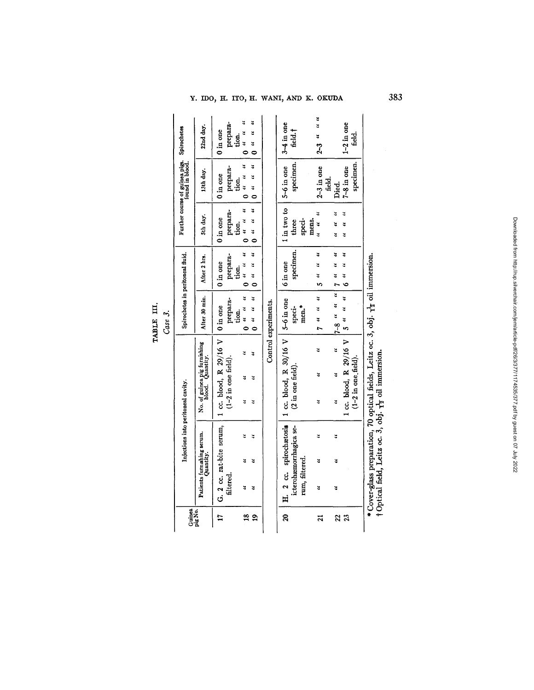# Y. IDO, H. ITO, H. WANI, AND K. OKUDA

|                                |                |                                         |                                                                                                | ;<br>}<br>}                                                                                       |                                            |                                         |                                                   |                                                      |
|--------------------------------|----------------|-----------------------------------------|------------------------------------------------------------------------------------------------|---------------------------------------------------------------------------------------------------|--------------------------------------------|-----------------------------------------|---------------------------------------------------|------------------------------------------------------|
| Guinea                         |                |                                         | Injections into peritoneal cavity.                                                             |                                                                                                   | Spirochetes in peritoneal fluid.           |                                         | Further course of guinea pigs. Spirochetes        |                                                      |
|                                |                | Patients furnishing serum.<br>Quantity. | No. of guinea pig furnishing<br>blood. Quantity.                                               | After 30 min.                                                                                     | After 2 hrs.                               | 5th day.                                | 13th day.                                         | 22nd day.                                            |
| 17                             | filtered.      | G. 2 cc. rat-bite serum,                | 1 cc. blood, R 29/16 V<br>$(1-2$ in one field).                                                | prepara-<br>$0$ in one<br>tion.                                                                   | prepara-<br>$0$ in one $\,$<br>tion.       | prepara-<br>$0$ in one<br>tion.         | prepara-<br>$0$ in one<br>tion.                   | prepara-<br>$0$ in one<br>tion.                      |
| $\frac{8}{16}$<br>$\mathbf{a}$ | ž<br>ž         | 3<br>ž<br>č                             | 7<br>҉<br>ะ                                                                                    | š<br>ă<br>$\ddot{ }$<br>$\begin{array}{cc} u & v \\ v & 0 \end{array}$<br>$\ddot{ }$<br>$\bullet$ | ҉<br>3<br>3<br>$0$ $u$ $u$<br>ž<br>$\circ$ | ₹<br>3<br>҉<br>ະ<br>ວ<br>4<br>$\bullet$ | 4<br>3<br>$\ddot{ }$<br>$\ddot{ }$<br>3<br>o<br>ō | š<br>۲,<br>¥<br>$\frac{1}{2}$<br>¥<br>់<br>$\bullet$ |
|                                |                |                                         |                                                                                                | Control experiments.                                                                              |                                            |                                         |                                                   |                                                      |
| ຊ                              | rum, filtered. | icterohæmorrhagica se-                  | H. 2 cc. spirochaetosia   1 cc. blood, R $30/16$ V   5-6 in one<br>$(2 \text{ in one field}).$ | men."<br>speci-                                                                                   | specimen.<br>6 in one                      | 1 in two to<br>speci-<br>three          | specimen.<br>$5-6$ in one                         | 3-4 in one<br>feld.†                                 |
| ដ                              | 3              | ะ<br>ž                                  | 2<br>3<br>\$                                                                                   | ž<br>n n L                                                                                        | 4<br>3<br>ž                                | $\ddot{ }$<br>mens.<br>$\ddot{ }$       | $2-3$ in one<br>field.                            | $2-3$ " " "                                          |
| 22<br>23                       | ă              | 3<br>₹                                  | 1 cc. blood, R 29/16 V<br>҉<br>$(1-2$ in one field).<br>$\ddot{ }$<br>٣                        | ¥<br>$\ddot{ }$<br>ะ<br>เว<br>š<br>$7 - 8$ "                                                      | ٧<br>ž<br>3<br>$\ddot{\cdot}$              | ă<br>ێ<br>ž<br>ะ<br>¥<br>ă              | specimen.<br>$7-8$ in one<br>Died.                | $1-2$ in one<br><u>ಗೆರೆ</u><br>ದಿರ                   |
|                                |                |                                         | *Cover-glass preparation, 70 optical fields, Leitz oc. 3, obj. $\frac{1}{12}$ oil immersion.   |                                                                                                   |                                            |                                         |                                                   |                                                      |

| over-glass preparation, 70 optical fields, Leitz oc. 3, obj. $\frac{1}{12}$ oil imit | ptical field, Leitz oc. 3, obj. $\frac{1}{12}$ oil immersion |
|--------------------------------------------------------------------------------------|--------------------------------------------------------------|
|                                                                                      |                                                              |

Downloaded from http://rup.silverchair.com/jem/article-pdf/26/3/377/1174335/377.pdf by guest on 07 July 2022 Downloaded from http://rup.silverchair.com/jem/article-pdf/26/3/377/1174535/377.pdf by guest on 07 July 2022

383

# TABLE III.<br> $Case 3.$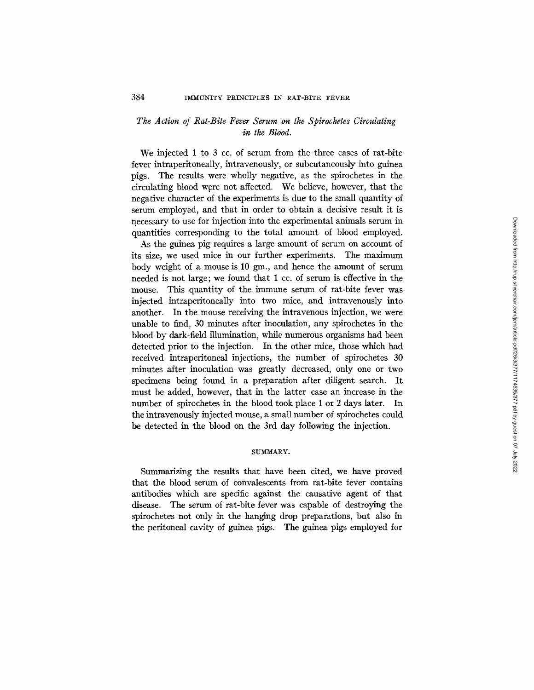# *The Action of Rat-Bite Fever Serum on the Spirochetes Circulating in the Blood.*

We injected 1 to 3 cc. of serum from the three cases of rat-bite fever intraperitoneally, intravenously, or subcutaneously into guinea pigs. The results were wholly negative, as the spirochetes in the circulating blood were not affected. We believe, however, that the negative character of the experiments is due to the small quantity of serum employed, and that in order to obtain a decisive result it is necessary to use for injection into the experimental animals serum in quantities corresponding to the total amount of blood employed.

As the guinea pig requires a large amount of serum on account of its size, we used mice in our further experiments. The maximum body weight of a mouse is  $10 \text{ gm}$ , and hence the amount of serum needed is not large; we found that 1 cc. of serum is effective in the mouse. This quantity of the immune serum of rat-bite fever was injected intraperitoneally into two mice, and intravenously into another. In the mouse receiving the intravenous injection, we were unable to find, 30 minutes after inoculation, any spirochetes in the blood by dark-field illumination, while numerous organisms had been detected prior to the injection. In the other mice, those which had received intraperitoneal injections, the number of spirochetes 30 minutes after inoculation was greatly decreased, only one or two specimens being found in a preparation after diligent search. It must be added, however, that in the latter case an increase in the number of spirochetes in the blood took place 1 or 2 days later. In the intravenously injected mouse, a small number of spirochetes could be detected in the blood on the 3rd day following the injection.

# SUMMARY.

Summarizing the results that have been cited, we have proved that the blood serum of convalescents from rat-bite fever contains antibodies which are specific against the causative agent of that disease. The serum of rat-bite fever was capable of destroying the spirochetes not only in the hanging drop preparations, but also in the peritoneal cavity of guinea pigs. The guinea pigs employed for